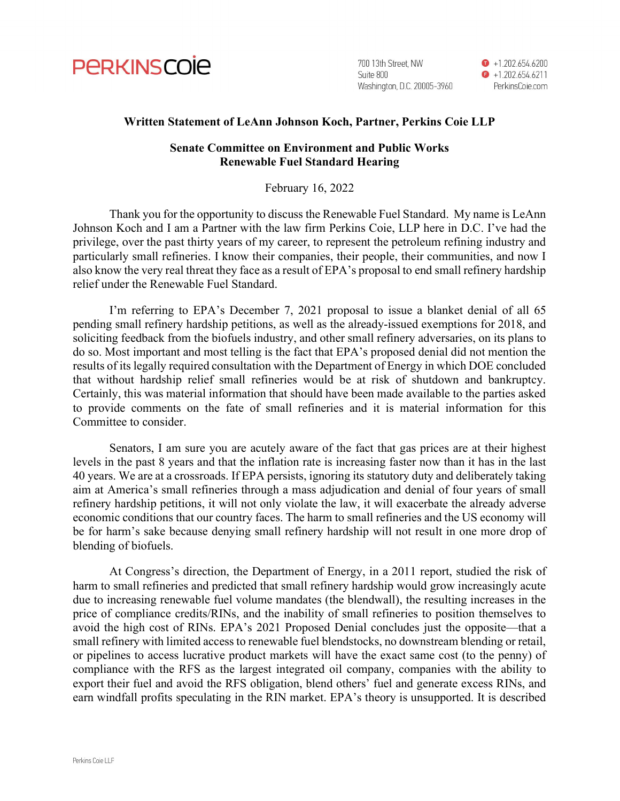

700 13th Street. NW Suite 800 Washington, D.C. 20005-3960  $\bullet$  +1.202.654.6200  $\bullet$  +1.202.654.6211 PerkinsCoie.com

#### Written Statement of LeAnn Johnson Koch, Partner, Perkins Coie LLP

### Senate Committee on Environment and Public Works Renewable Fuel Standard Hearing

#### February 16, 2022

 Thank you for the opportunity to discuss the Renewable Fuel Standard. My name is LeAnn Johnson Koch and I am a Partner with the law firm Perkins Coie, LLP here in D.C. I've had the privilege, over the past thirty years of my career, to represent the petroleum refining industry and particularly small refineries. I know their companies, their people, their communities, and now I also know the very real threat they face as a result of EPA's proposal to end small refinery hardship relief under the Renewable Fuel Standard.

 I'm referring to EPA's December 7, 2021 proposal to issue a blanket denial of all 65 pending small refinery hardship petitions, as well as the already-issued exemptions for 2018, and soliciting feedback from the biofuels industry, and other small refinery adversaries, on its plans to do so. Most important and most telling is the fact that EPA's proposed denial did not mention the results of its legally required consultation with the Department of Energy in which DOE concluded that without hardship relief small refineries would be at risk of shutdown and bankruptcy. Certainly, this was material information that should have been made available to the parties asked to provide comments on the fate of small refineries and it is material information for this Committee to consider.

 Senators, I am sure you are acutely aware of the fact that gas prices are at their highest levels in the past 8 years and that the inflation rate is increasing faster now than it has in the last 40 years. We are at a crossroads. If EPA persists, ignoring its statutory duty and deliberately taking aim at America's small refineries through a mass adjudication and denial of four years of small refinery hardship petitions, it will not only violate the law, it will exacerbate the already adverse economic conditions that our country faces. The harm to small refineries and the US economy will be for harm's sake because denying small refinery hardship will not result in one more drop of blending of biofuels.

 At Congress's direction, the Department of Energy, in a 2011 report, studied the risk of harm to small refineries and predicted that small refinery hardship would grow increasingly acute due to increasing renewable fuel volume mandates (the blendwall), the resulting increases in the price of compliance credits/RINs, and the inability of small refineries to position themselves to avoid the high cost of RINs. EPA's 2021 Proposed Denial concludes just the opposite—that a small refinery with limited access to renewable fuel blendstocks, no downstream blending or retail, or pipelines to access lucrative product markets will have the exact same cost (to the penny) of compliance with the RFS as the largest integrated oil company, companies with the ability to export their fuel and avoid the RFS obligation, blend others' fuel and generate excess RINs, and earn windfall profits speculating in the RIN market. EPA's theory is unsupported. It is described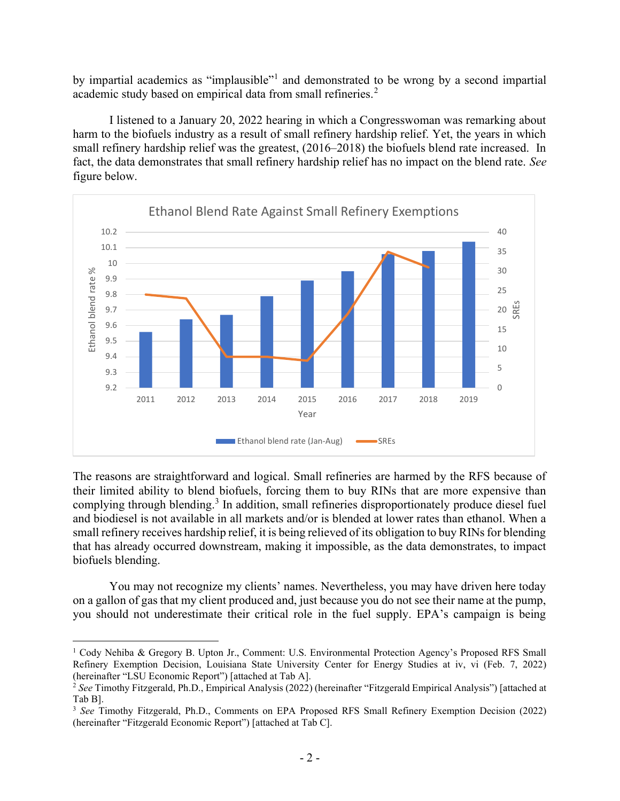by impartial academics as "implausible"<sup>1</sup> and demonstrated to be wrong by a second impartial academic study based on empirical data from small refineries.<sup>2</sup>

 I listened to a January 20, 2022 hearing in which a Congresswoman was remarking about harm to the biofuels industry as a result of small refinery hardship relief. Yet, the years in which small refinery hardship relief was the greatest, (2016–2018) the biofuels blend rate increased. In fact, the data demonstrates that small refinery hardship relief has no impact on the blend rate. See figure below.



The reasons are straightforward and logical. Small refineries are harmed by the RFS because of their limited ability to blend biofuels, forcing them to buy RINs that are more expensive than complying through blending.<sup>3</sup> In addition, small refineries disproportionately produce diesel fuel and biodiesel is not available in all markets and/or is blended at lower rates than ethanol. When a small refinery receives hardship relief, it is being relieved of its obligation to buy RINs for blending that has already occurred downstream, making it impossible, as the data demonstrates, to impact biofuels blending.

 You may not recognize my clients' names. Nevertheless, you may have driven here today on a gallon of gas that my client produced and, just because you do not see their name at the pump, you should not underestimate their critical role in the fuel supply. EPA's campaign is being

<sup>&</sup>lt;sup>1</sup> Cody Nehiba & Gregory B. Upton Jr., Comment: U.S. Environmental Protection Agency's Proposed RFS Small Refinery Exemption Decision, Louisiana State University Center for Energy Studies at iv, vi (Feb. 7, 2022) (hereinafter "LSU Economic Report") [attached at Tab A].

<sup>&</sup>lt;sup>2</sup> See Timothy Fitzgerald, Ph.D., Empirical Analysis (2022) (hereinafter "Fitzgerald Empirical Analysis") [attached at Tab B].

<sup>&</sup>lt;sup>3</sup> See Timothy Fitzgerald, Ph.D., Comments on EPA Proposed RFS Small Refinery Exemption Decision (2022) (hereinafter "Fitzgerald Economic Report") [attached at Tab C].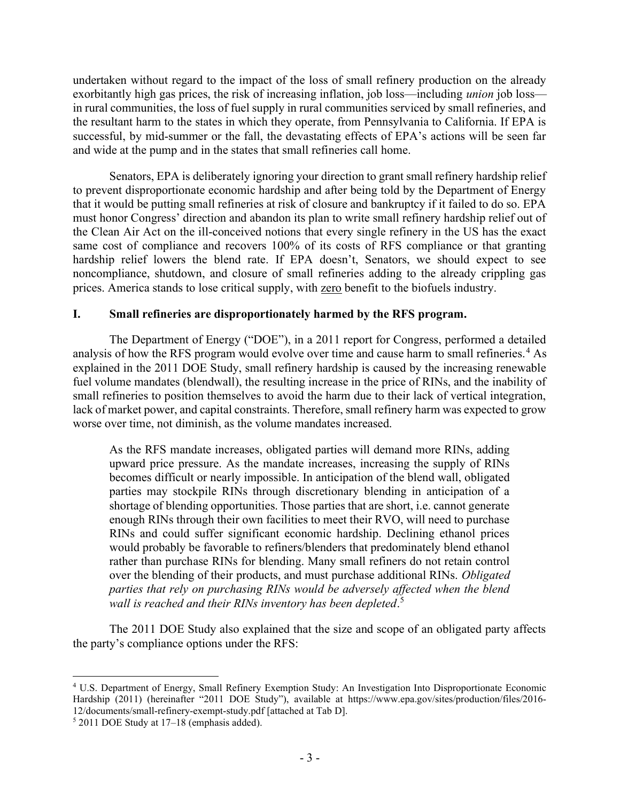undertaken without regard to the impact of the loss of small refinery production on the already exorbitantly high gas prices, the risk of increasing inflation, job loss—including union job loss in rural communities, the loss of fuel supply in rural communities serviced by small refineries, and the resultant harm to the states in which they operate, from Pennsylvania to California. If EPA is successful, by mid-summer or the fall, the devastating effects of EPA's actions will be seen far and wide at the pump and in the states that small refineries call home.

 Senators, EPA is deliberately ignoring your direction to grant small refinery hardship relief to prevent disproportionate economic hardship and after being told by the Department of Energy that it would be putting small refineries at risk of closure and bankruptcy if it failed to do so. EPA must honor Congress' direction and abandon its plan to write small refinery hardship relief out of the Clean Air Act on the ill-conceived notions that every single refinery in the US has the exact same cost of compliance and recovers 100% of its costs of RFS compliance or that granting hardship relief lowers the blend rate. If EPA doesn't, Senators, we should expect to see noncompliance, shutdown, and closure of small refineries adding to the already crippling gas prices. America stands to lose critical supply, with zero benefit to the biofuels industry.

# I. Small refineries are disproportionately harmed by the RFS program.

The Department of Energy ("DOE"), in a 2011 report for Congress, performed a detailed analysis of how the RFS program would evolve over time and cause harm to small refineries.<sup>4</sup> As explained in the 2011 DOE Study, small refinery hardship is caused by the increasing renewable fuel volume mandates (blendwall), the resulting increase in the price of RINs, and the inability of small refineries to position themselves to avoid the harm due to their lack of vertical integration, lack of market power, and capital constraints. Therefore, small refinery harm was expected to grow worse over time, not diminish, as the volume mandates increased.

As the RFS mandate increases, obligated parties will demand more RINs, adding upward price pressure. As the mandate increases, increasing the supply of RINs becomes difficult or nearly impossible. In anticipation of the blend wall, obligated parties may stockpile RINs through discretionary blending in anticipation of a shortage of blending opportunities. Those parties that are short, i.e. cannot generate enough RINs through their own facilities to meet their RVO, will need to purchase RINs and could suffer significant economic hardship. Declining ethanol prices would probably be favorable to refiners/blenders that predominately blend ethanol rather than purchase RINs for blending. Many small refiners do not retain control over the blending of their products, and must purchase additional RINs. Obligated parties that rely on purchasing RINs would be adversely affected when the blend wall is reached and their RINs inventory has been depleted.<sup>5</sup>

The 2011 DOE Study also explained that the size and scope of an obligated party affects the party's compliance options under the RFS:

<sup>4</sup> U.S. Department of Energy, Small Refinery Exemption Study: An Investigation Into Disproportionate Economic Hardship (2011) (hereinafter "2011 DOE Study"), available at https://www.epa.gov/sites/production/files/2016-12/documents/small-refinery-exempt-study.pdf [attached at Tab D].

<sup>5</sup> 2011 DOE Study at 17–18 (emphasis added).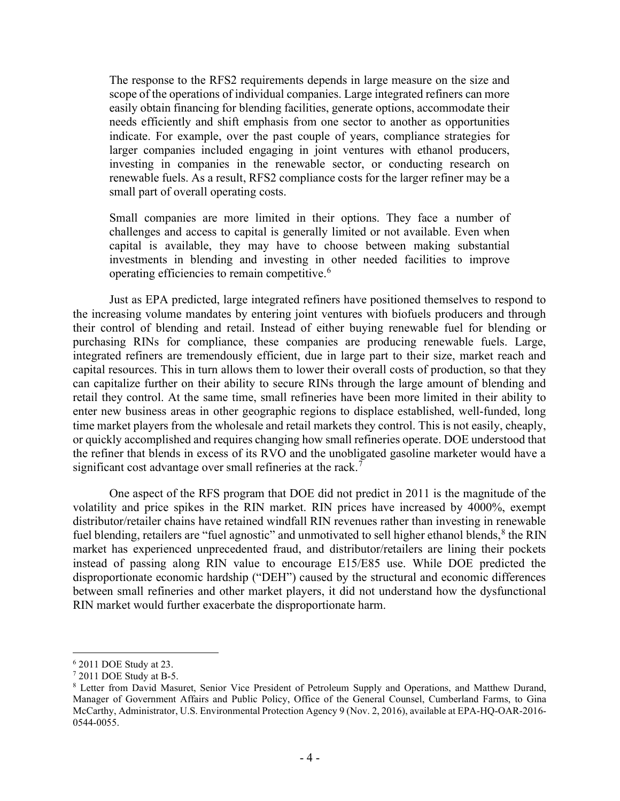The response to the RFS2 requirements depends in large measure on the size and scope of the operations of individual companies. Large integrated refiners can more easily obtain financing for blending facilities, generate options, accommodate their needs efficiently and shift emphasis from one sector to another as opportunities indicate. For example, over the past couple of years, compliance strategies for larger companies included engaging in joint ventures with ethanol producers, investing in companies in the renewable sector, or conducting research on renewable fuels. As a result, RFS2 compliance costs for the larger refiner may be a small part of overall operating costs.

Small companies are more limited in their options. They face a number of challenges and access to capital is generally limited or not available. Even when capital is available, they may have to choose between making substantial investments in blending and investing in other needed facilities to improve operating efficiencies to remain competitive.<sup>6</sup>

Just as EPA predicted, large integrated refiners have positioned themselves to respond to the increasing volume mandates by entering joint ventures with biofuels producers and through their control of blending and retail. Instead of either buying renewable fuel for blending or purchasing RINs for compliance, these companies are producing renewable fuels. Large, integrated refiners are tremendously efficient, due in large part to their size, market reach and capital resources. This in turn allows them to lower their overall costs of production, so that they can capitalize further on their ability to secure RINs through the large amount of blending and retail they control. At the same time, small refineries have been more limited in their ability to enter new business areas in other geographic regions to displace established, well-funded, long time market players from the wholesale and retail markets they control. This is not easily, cheaply, or quickly accomplished and requires changing how small refineries operate. DOE understood that the refiner that blends in excess of its RVO and the unobligated gasoline marketer would have a significant cost advantage over small refineries at the rack.<sup>7</sup>

One aspect of the RFS program that DOE did not predict in 2011 is the magnitude of the volatility and price spikes in the RIN market. RIN prices have increased by 4000%, exempt distributor/retailer chains have retained windfall RIN revenues rather than investing in renewable fuel blending, retailers are "fuel agnostic" and unmotivated to sell higher ethanol blends,  $8$  the RIN market has experienced unprecedented fraud, and distributor/retailers are lining their pockets instead of passing along RIN value to encourage E15/E85 use. While DOE predicted the disproportionate economic hardship ("DEH") caused by the structural and economic differences between small refineries and other market players, it did not understand how the dysfunctional RIN market would further exacerbate the disproportionate harm.

<sup>6</sup> 2011 DOE Study at 23.

 $72011$  DOE Study at B-5.

<sup>8</sup> Letter from David Masuret, Senior Vice President of Petroleum Supply and Operations, and Matthew Durand, Manager of Government Affairs and Public Policy, Office of the General Counsel, Cumberland Farms, to Gina McCarthy, Administrator, U.S. Environmental Protection Agency 9 (Nov. 2, 2016), available at EPA-HQ-OAR-2016- 0544-0055.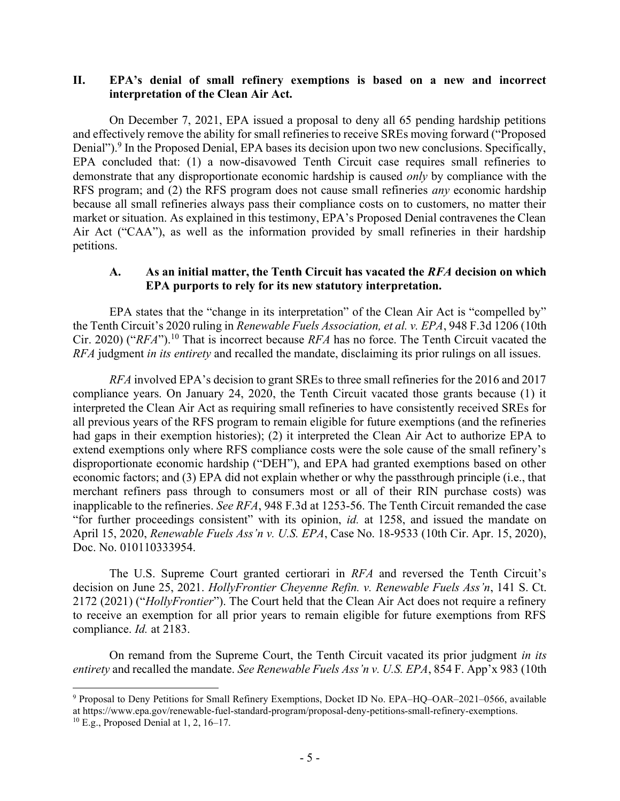### II. EPA's denial of small refinery exemptions is based on a new and incorrect interpretation of the Clean Air Act.

On December 7, 2021, EPA issued a proposal to deny all 65 pending hardship petitions and effectively remove the ability for small refineries to receive SREs moving forward ("Proposed Denial").<sup>9</sup> In the Proposed Denial, EPA bases its decision upon two new conclusions. Specifically, EPA concluded that: (1) a now-disavowed Tenth Circuit case requires small refineries to demonstrate that any disproportionate economic hardship is caused only by compliance with the RFS program; and (2) the RFS program does not cause small refineries *any* economic hardship because all small refineries always pass their compliance costs on to customers, no matter their market or situation. As explained in this testimony, EPA's Proposed Denial contravenes the Clean Air Act ("CAA"), as well as the information provided by small refineries in their hardship petitions.

#### A. As an initial matter, the Tenth Circuit has vacated the RFA decision on which EPA purports to rely for its new statutory interpretation.

EPA states that the "change in its interpretation" of the Clean Air Act is "compelled by" the Tenth Circuit's 2020 ruling in Renewable Fuels Association, et al. v. EPA, 948 F.3d 1206 (10th Cir. 2020) ("RFA").<sup>10</sup> That is incorrect because RFA has no force. The Tenth Circuit vacated the RFA judgment in its entirety and recalled the mandate, disclaiming its prior rulings on all issues.

RFA involved EPA's decision to grant SREs to three small refineries for the 2016 and 2017 compliance years. On January 24, 2020, the Tenth Circuit vacated those grants because (1) it interpreted the Clean Air Act as requiring small refineries to have consistently received SREs for all previous years of the RFS program to remain eligible for future exemptions (and the refineries had gaps in their exemption histories); (2) it interpreted the Clean Air Act to authorize EPA to extend exemptions only where RFS compliance costs were the sole cause of the small refinery's disproportionate economic hardship ("DEH"), and EPA had granted exemptions based on other economic factors; and (3) EPA did not explain whether or why the passthrough principle (i.e., that merchant refiners pass through to consumers most or all of their RIN purchase costs) was inapplicable to the refineries. See RFA, 948 F.3d at 1253-56. The Tenth Circuit remanded the case "for further proceedings consistent" with its opinion, id. at 1258, and issued the mandate on April 15, 2020, Renewable Fuels Ass'n v. U.S. EPA, Case No. 18-9533 (10th Cir. Apr. 15, 2020), Doc. No. 010110333954.

 The U.S. Supreme Court granted certiorari in RFA and reversed the Tenth Circuit's decision on June 25, 2021. HollyFrontier Cheyenne Refin. v. Renewable Fuels Ass'n, 141 S. Ct. 2172 (2021) ("HollyFrontier"). The Court held that the Clean Air Act does not require a refinery to receive an exemption for all prior years to remain eligible for future exemptions from RFS compliance. Id. at 2183.

 On remand from the Supreme Court, the Tenth Circuit vacated its prior judgment in its entirety and recalled the mandate. See Renewable Fuels Ass'n v. U.S. EPA, 854 F. App'x 983 (10th

<sup>9</sup> Proposal to Deny Petitions for Small Refinery Exemptions, Docket ID No. EPA–HQ–OAR–2021–0566, available at https://www.epa.gov/renewable-fuel-standard-program/proposal-deny-petitions-small-refinery-exemptions.

<sup>10</sup> E.g., Proposed Denial at 1, 2, 16–17.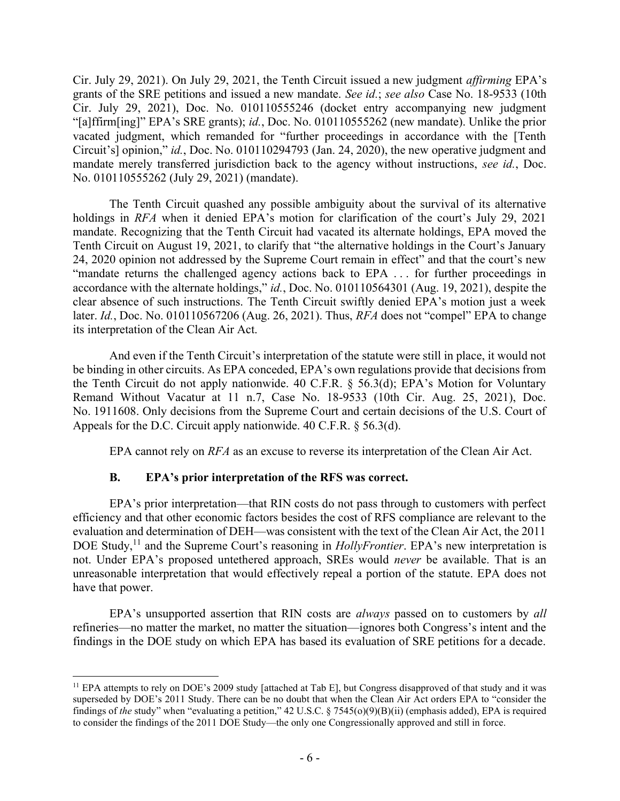Cir. July 29, 2021). On July 29, 2021, the Tenth Circuit issued a new judgment affirming EPA's grants of the SRE petitions and issued a new mandate. See id.; see also Case No. 18-9533 (10th Cir. July 29, 2021), Doc. No. 010110555246 (docket entry accompanying new judgment "[a]ffirm[ing]" EPA's SRE grants); id., Doc. No. 010110555262 (new mandate). Unlike the prior vacated judgment, which remanded for "further proceedings in accordance with the [Tenth Circuit's] opinion," id., Doc. No. 010110294793 (Jan. 24, 2020), the new operative judgment and mandate merely transferred jurisdiction back to the agency without instructions, see id., Doc. No. 010110555262 (July 29, 2021) (mandate).

 The Tenth Circuit quashed any possible ambiguity about the survival of its alternative holdings in *RFA* when it denied EPA's motion for clarification of the court's July 29, 2021 mandate. Recognizing that the Tenth Circuit had vacated its alternate holdings, EPA moved the Tenth Circuit on August 19, 2021, to clarify that "the alternative holdings in the Court's January 24, 2020 opinion not addressed by the Supreme Court remain in effect" and that the court's new "mandate returns the challenged agency actions back to EPA . . . for further proceedings in accordance with the alternate holdings," id., Doc. No. 010110564301 (Aug. 19, 2021), despite the clear absence of such instructions. The Tenth Circuit swiftly denied EPA's motion just a week later. Id., Doc. No. 010110567206 (Aug. 26, 2021). Thus, RFA does not "compel" EPA to change its interpretation of the Clean Air Act.

 And even if the Tenth Circuit's interpretation of the statute were still in place, it would not be binding in other circuits. As EPA conceded, EPA's own regulations provide that decisions from the Tenth Circuit do not apply nationwide. 40 C.F.R. § 56.3(d); EPA's Motion for Voluntary Remand Without Vacatur at 11 n.7, Case No. 18-9533 (10th Cir. Aug. 25, 2021), Doc. No. 1911608. Only decisions from the Supreme Court and certain decisions of the U.S. Court of Appeals for the D.C. Circuit apply nationwide. 40 C.F.R. § 56.3(d).

EPA cannot rely on *RFA* as an excuse to reverse its interpretation of the Clean Air Act.

# B. EPA's prior interpretation of the RFS was correct.

EPA's prior interpretation—that RIN costs do not pass through to customers with perfect efficiency and that other economic factors besides the cost of RFS compliance are relevant to the evaluation and determination of DEH—was consistent with the text of the Clean Air Act, the 2011 DOE Study,<sup>11</sup> and the Supreme Court's reasoning in  $Hollv$ Frontier. EPA's new interpretation is not. Under EPA's proposed untethered approach, SREs would *never* be available. That is an unreasonable interpretation that would effectively repeal a portion of the statute. EPA does not have that power.

EPA's unsupported assertion that RIN costs are *always* passed on to customers by *all* refineries—no matter the market, no matter the situation—ignores both Congress's intent and the findings in the DOE study on which EPA has based its evaluation of SRE petitions for a decade.

<sup>&</sup>lt;sup>11</sup> EPA attempts to rely on DOE's 2009 study [attached at Tab E], but Congress disapproved of that study and it was superseded by DOE's 2011 Study. There can be no doubt that when the Clean Air Act orders EPA to "consider the findings of the study" when "evaluating a petition," 42 U.S.C. § 7545(o)(9)(B)(ii) (emphasis added), EPA is required to consider the findings of the 2011 DOE Study—the only one Congressionally approved and still in force.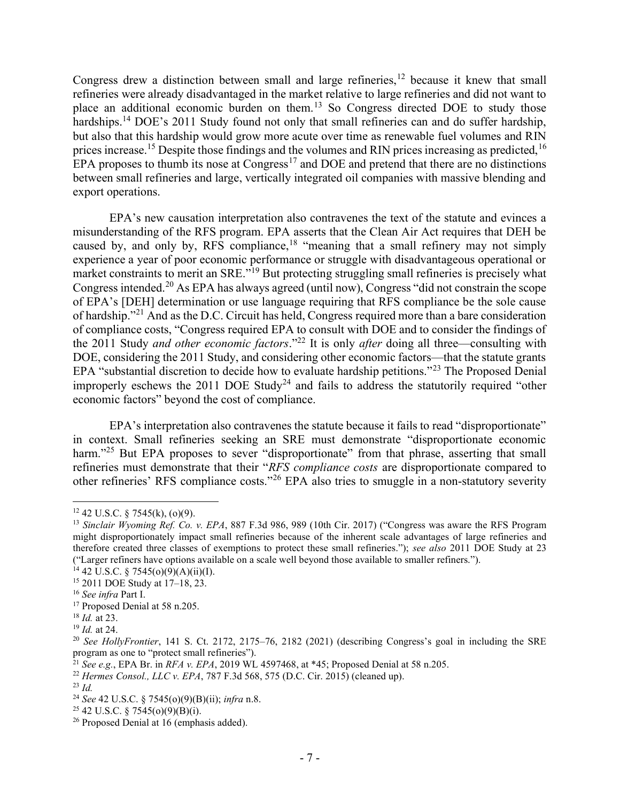Congress drew a distinction between small and large refineries, $12$  because it knew that small refineries were already disadvantaged in the market relative to large refineries and did not want to place an additional economic burden on them.<sup>13</sup> So Congress directed DOE to study those hardships.<sup>14</sup> DOE's 2011 Study found not only that small refineries can and do suffer hardship, but also that this hardship would grow more acute over time as renewable fuel volumes and RIN prices increase.<sup>15</sup> Despite those findings and the volumes and RIN prices increasing as predicted,<sup>16</sup> EPA proposes to thumb its nose at  $Congress<sup>17</sup>$  and DOE and pretend that there are no distinctions between small refineries and large, vertically integrated oil companies with massive blending and export operations.

EPA's new causation interpretation also contravenes the text of the statute and evinces a misunderstanding of the RFS program. EPA asserts that the Clean Air Act requires that DEH be caused by, and only by, RFS compliance,  $18$  "meaning that a small refinery may not simply experience a year of poor economic performance or struggle with disadvantageous operational or market constraints to merit an SRE."<sup>19</sup> But protecting struggling small refineries is precisely what Congress intended.<sup>20</sup> As EPA has always agreed (until now), Congress "did not constrain the scope of EPA's [DEH] determination or use language requiring that RFS compliance be the sole cause of hardship."<sup>21</sup> And as the D.C. Circuit has held, Congress required more than a bare consideration of compliance costs, "Congress required EPA to consult with DOE and to consider the findings of the 2011 Study and other economic factors."<sup>22</sup> It is only after doing all three—consulting with DOE, considering the 2011 Study, and considering other economic factors—that the statute grants EPA "substantial discretion to decide how to evaluate hardship petitions."<sup>23</sup> The Proposed Denial improperly eschews the 2011 DOE Study<sup>24</sup> and fails to address the statutorily required "other economic factors" beyond the cost of compliance.

EPA's interpretation also contravenes the statute because it fails to read "disproportionate" in context. Small refineries seeking an SRE must demonstrate "disproportionate economic harm."<sup>25</sup> But EPA proposes to sever "disproportionate" from that phrase, asserting that small refineries must demonstrate that their "RFS compliance costs are disproportionate compared to other refineries' RFS compliance costs."<sup>26</sup> EPA also tries to smuggle in a non-statutory severity

 $12$  42 U.S.C. § 7545(k), (o)(9).

<sup>&</sup>lt;sup>13</sup> Sinclair Wyoming Ref. Co. v. EPA, 887 F.3d 986, 989 (10th Cir. 2017) ("Congress was aware the RFS Program" might disproportionately impact small refineries because of the inherent scale advantages of large refineries and therefore created three classes of exemptions to protect these small refineries."); see also 2011 DOE Study at 23 ("Larger refiners have options available on a scale well beyond those available to smaller refiners.").

 $14$  42 U.S.C. § 7545(o)(9)(A)(ii)(I).

<sup>15</sup> 2011 DOE Study at 17–18, 23.

<sup>16</sup> See infra Part I.

<sup>&</sup>lt;sup>17</sup> Proposed Denial at 58 n.205.

 $18$  *Id.* at 23.

<sup>19</sup> Id. at 24.

 $20$  See HollyFrontier, 141 S. Ct. 2172, 2175–76, 2182 (2021) (describing Congress's goal in including the SRE program as one to "protect small refineries").

<sup>&</sup>lt;sup>21</sup> See e.g., EPA Br. in RFA v. EPA, 2019 WL 4597468, at \*45; Proposed Denial at 58 n.205.

<sup>&</sup>lt;sup>22</sup> Hermes Consol., LLC v. EPA, 787 F.3d 568, 575 (D.C. Cir. 2015) (cleaned up).

 $^{23}$  *Id.* 

<sup>&</sup>lt;sup>24</sup> See 42 U.S.C. § 7545(o)(9)(B)(ii); *infra* n.8.

<sup>&</sup>lt;sup>25</sup> 42 U.S.C. § 7545(o)(9)(B)(i).

<sup>&</sup>lt;sup>26</sup> Proposed Denial at 16 (emphasis added).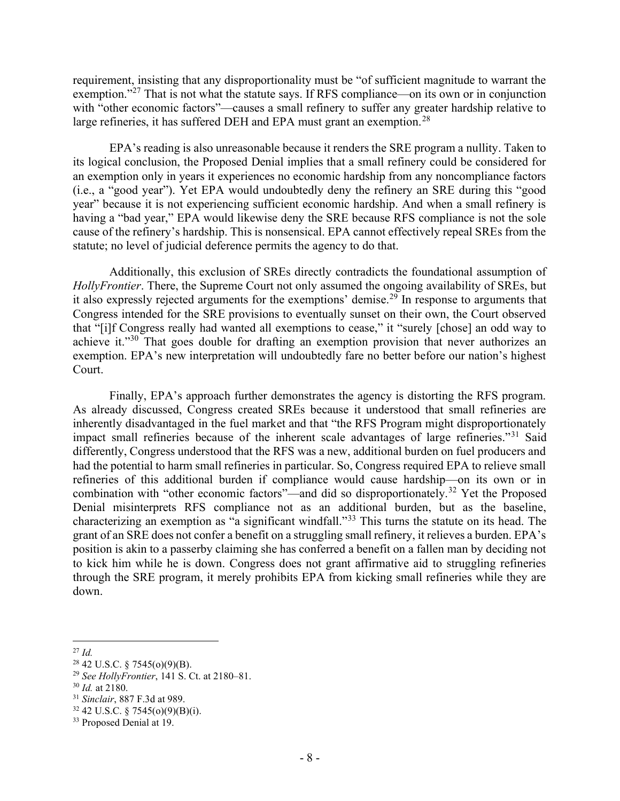requirement, insisting that any disproportionality must be "of sufficient magnitude to warrant the exemption."<sup>27</sup> That is not what the statute says. If RFS compliance—on its own or in conjunction with "other economic factors"—causes a small refinery to suffer any greater hardship relative to large refineries, it has suffered DEH and EPA must grant an exemption.<sup>28</sup>

EPA's reading is also unreasonable because it renders the SRE program a nullity. Taken to its logical conclusion, the Proposed Denial implies that a small refinery could be considered for an exemption only in years it experiences no economic hardship from any noncompliance factors (i.e., a "good year"). Yet EPA would undoubtedly deny the refinery an SRE during this "good year" because it is not experiencing sufficient economic hardship. And when a small refinery is having a "bad year," EPA would likewise deny the SRE because RFS compliance is not the sole cause of the refinery's hardship. This is nonsensical. EPA cannot effectively repeal SREs from the statute; no level of judicial deference permits the agency to do that.

Additionally, this exclusion of SREs directly contradicts the foundational assumption of HollyFrontier. There, the Supreme Court not only assumed the ongoing availability of SREs, but it also expressly rejected arguments for the exemptions' demise.<sup>29</sup> In response to arguments that Congress intended for the SRE provisions to eventually sunset on their own, the Court observed that "[i]f Congress really had wanted all exemptions to cease," it "surely [chose] an odd way to achieve it."<sup>30</sup> That goes double for drafting an exemption provision that never authorizes an exemption. EPA's new interpretation will undoubtedly fare no better before our nation's highest Court.

Finally, EPA's approach further demonstrates the agency is distorting the RFS program. As already discussed, Congress created SREs because it understood that small refineries are inherently disadvantaged in the fuel market and that "the RFS Program might disproportionately impact small refineries because of the inherent scale advantages of large refineries."<sup>31</sup> Said differently, Congress understood that the RFS was a new, additional burden on fuel producers and had the potential to harm small refineries in particular. So, Congress required EPA to relieve small refineries of this additional burden if compliance would cause hardship—on its own or in combination with "other economic factors"—and did so disproportionately.<sup>32</sup> Yet the Proposed Denial misinterprets RFS compliance not as an additional burden, but as the baseline, characterizing an exemption as "a significant windfall."<sup>33</sup> This turns the statute on its head. The grant of an SRE does not confer a benefit on a struggling small refinery, it relieves a burden. EPA's position is akin to a passerby claiming she has conferred a benefit on a fallen man by deciding not to kick him while he is down. Congress does not grant affirmative aid to struggling refineries through the SRE program, it merely prohibits EPA from kicking small refineries while they are down.

 $^{27}$  Id.

 $28$  42 U.S.C. § 7545(o)(9)(B).

<sup>&</sup>lt;sup>29</sup> See HollyFrontier, 141 S. Ct. at  $2180-81$ .

 $30$  *Id.* at 2180.

<sup>31</sup> Sinclair, 887 F.3d at 989.

 $32$  42 U.S.C. § 7545(o)(9)(B)(i).

<sup>&</sup>lt;sup>33</sup> Proposed Denial at 19.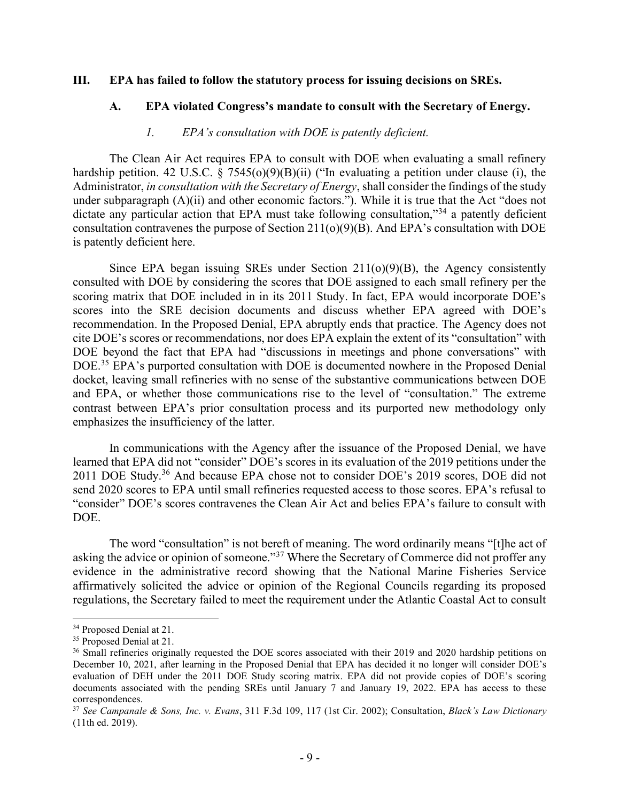#### III. EPA has failed to follow the statutory process for issuing decisions on SREs.

#### A. EPA violated Congress's mandate to consult with the Secretary of Energy.

#### 1. EPA's consultation with DOE is patently deficient.

The Clean Air Act requires EPA to consult with DOE when evaluating a small refinery hardship petition. 42 U.S.C.  $\S$  7545(o)(9)(B)(ii) ("In evaluating a petition under clause (i), the Administrator, *in consultation with the Secretary of Energy*, shall consider the findings of the study under subparagraph (A)(ii) and other economic factors."). While it is true that the Act "does not dictate any particular action that EPA must take following consultation,"<sup>34</sup> a patently deficient consultation contravenes the purpose of Section 211(o)(9)(B). And EPA's consultation with DOE is patently deficient here.

Since EPA began issuing SREs under Section 211(o)(9)(B), the Agency consistently consulted with DOE by considering the scores that DOE assigned to each small refinery per the scoring matrix that DOE included in in its 2011 Study. In fact, EPA would incorporate DOE's scores into the SRE decision documents and discuss whether EPA agreed with DOE's recommendation. In the Proposed Denial, EPA abruptly ends that practice. The Agency does not cite DOE's scores or recommendations, nor does EPA explain the extent of its "consultation" with DOE beyond the fact that EPA had "discussions in meetings and phone conversations" with DOE.<sup>35</sup> EPA's purported consultation with DOE is documented nowhere in the Proposed Denial docket, leaving small refineries with no sense of the substantive communications between DOE and EPA, or whether those communications rise to the level of "consultation." The extreme contrast between EPA's prior consultation process and its purported new methodology only emphasizes the insufficiency of the latter.

In communications with the Agency after the issuance of the Proposed Denial, we have learned that EPA did not "consider" DOE's scores in its evaluation of the 2019 petitions under the 2011 DOE Study.<sup>36</sup> And because EPA chose not to consider DOE's 2019 scores, DOE did not send 2020 scores to EPA until small refineries requested access to those scores. EPA's refusal to "consider" DOE's scores contravenes the Clean Air Act and belies EPA's failure to consult with DOE.

The word "consultation" is not bereft of meaning. The word ordinarily means "[t]he act of asking the advice or opinion of someone."<sup>37</sup> Where the Secretary of Commerce did not proffer any evidence in the administrative record showing that the National Marine Fisheries Service affirmatively solicited the advice or opinion of the Regional Councils regarding its proposed regulations, the Secretary failed to meet the requirement under the Atlantic Coastal Act to consult

<sup>34</sup> Proposed Denial at 21.

<sup>&</sup>lt;sup>35</sup> Proposed Denial at 21.

<sup>&</sup>lt;sup>36</sup> Small refineries originally requested the DOE scores associated with their 2019 and 2020 hardship petitions on December 10, 2021, after learning in the Proposed Denial that EPA has decided it no longer will consider DOE's evaluation of DEH under the 2011 DOE Study scoring matrix. EPA did not provide copies of DOE's scoring documents associated with the pending SREs until January 7 and January 19, 2022. EPA has access to these correspondences.

 $37$  See Campanale & Sons, Inc. v. Evans, 311 F.3d 109, 117 (1st Cir. 2002); Consultation, Black's Law Dictionary (11th ed. 2019).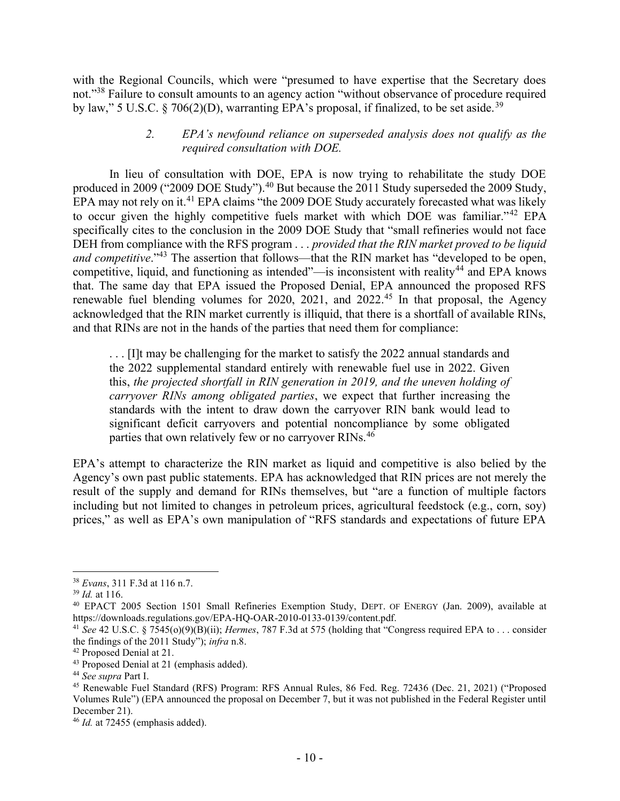with the Regional Councils, which were "presumed to have expertise that the Secretary does not."<sup>38</sup> Failure to consult amounts to an agency action "without observance of procedure required by law," 5 U.S.C. § 706(2)(D), warranting EPA's proposal, if finalized, to be set aside.<sup>39</sup>

## 2. EPA's newfound reliance on superseded analysis does not qualify as the required consultation with DOE.

In lieu of consultation with DOE, EPA is now trying to rehabilitate the study DOE produced in 2009 ("2009 DOE Study").<sup>40</sup> But because the 2011 Study superseded the 2009 Study, EPA may not rely on it.<sup>41</sup> EPA claims "the 2009 DOE Study accurately forecasted what was likely to occur given the highly competitive fuels market with which DOE was familiar."<sup>42</sup> EPA specifically cites to the conclusion in the 2009 DOE Study that "small refineries would not face DEH from compliance with the RFS program . . . provided that the RIN market proved to be liquid and competitive."<sup>43</sup> The assertion that follows—that the RIN market has "developed to be open, competitive, liquid, and functioning as intended"—is inconsistent with reality<sup>44</sup> and EPA knows that. The same day that EPA issued the Proposed Denial, EPA announced the proposed RFS renewable fuel blending volumes for 2020, 2021, and 2022.<sup>45</sup> In that proposal, the Agency acknowledged that the RIN market currently is illiquid, that there is a shortfall of available RINs, and that RINs are not in the hands of the parties that need them for compliance:

. . . [I]t may be challenging for the market to satisfy the 2022 annual standards and the 2022 supplemental standard entirely with renewable fuel use in 2022. Given this, the projected shortfall in RIN generation in 2019, and the uneven holding of carryover RINs among obligated parties, we expect that further increasing the standards with the intent to draw down the carryover RIN bank would lead to significant deficit carryovers and potential noncompliance by some obligated parties that own relatively few or no carryover RINs.<sup>46</sup>

EPA's attempt to characterize the RIN market as liquid and competitive is also belied by the Agency's own past public statements. EPA has acknowledged that RIN prices are not merely the result of the supply and demand for RINs themselves, but "are a function of multiple factors including but not limited to changes in petroleum prices, agricultural feedstock (e.g., corn, soy) prices," as well as EPA's own manipulation of "RFS standards and expectations of future EPA

<sup>38</sup> Evans, 311 F.3d at 116 n.7.

 $39$  *Id.* at 116.

<sup>40</sup> EPACT 2005 Section 1501 Small Refineries Exemption Study, DEPT. OF ENERGY (Jan. 2009), available at https://downloads.regulations.gov/EPA-HQ-OAR-2010-0133-0139/content.pdf.

<sup>&</sup>lt;sup>41</sup> See 42 U.S.C. § 7545(o)(9)(B)(ii); *Hermes*, 787 F.3d at 575 (holding that "Congress required EPA to . . . consider the findings of the 2011 Study"); infra n.8.

<sup>42</sup> Proposed Denial at 21.

<sup>43</sup> Proposed Denial at 21 (emphasis added).

<sup>&</sup>lt;sup>44</sup> See supra Part I.

<sup>45</sup> Renewable Fuel Standard (RFS) Program: RFS Annual Rules, 86 Fed. Reg. 72436 (Dec. 21, 2021) ("Proposed Volumes Rule") (EPA announced the proposal on December 7, but it was not published in the Federal Register until December 21).

 $46$  *Id.* at 72455 (emphasis added).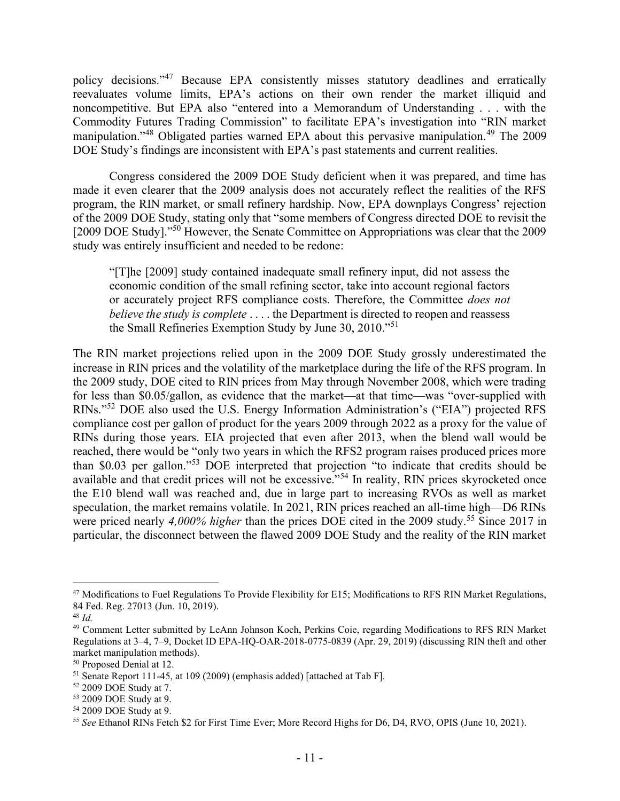policy decisions."<sup>47</sup> Because EPA consistently misses statutory deadlines and erratically reevaluates volume limits, EPA's actions on their own render the market illiquid and noncompetitive. But EPA also "entered into a Memorandum of Understanding . . . with the Commodity Futures Trading Commission" to facilitate EPA's investigation into "RIN market manipulation."<sup>48</sup> Obligated parties warned EPA about this pervasive manipulation.<sup>49</sup> The 2009 DOE Study's findings are inconsistent with EPA's past statements and current realities.

Congress considered the 2009 DOE Study deficient when it was prepared, and time has made it even clearer that the 2009 analysis does not accurately reflect the realities of the RFS program, the RIN market, or small refinery hardship. Now, EPA downplays Congress' rejection of the 2009 DOE Study, stating only that "some members of Congress directed DOE to revisit the [2009 DOE Study]."<sup>50</sup> However, the Senate Committee on Appropriations was clear that the 2009 study was entirely insufficient and needed to be redone:

"[T]he [2009] study contained inadequate small refinery input, did not assess the economic condition of the small refining sector, take into account regional factors or accurately project RFS compliance costs. Therefore, the Committee *does not* believe the study is complete  $\dots$  the Department is directed to reopen and reassess the Small Refineries Exemption Study by June 30, 2010."<sup>51</sup>

The RIN market projections relied upon in the 2009 DOE Study grossly underestimated the increase in RIN prices and the volatility of the marketplace during the life of the RFS program. In the 2009 study, DOE cited to RIN prices from May through November 2008, which were trading for less than \$0.05/gallon, as evidence that the market—at that time—was "over-supplied with RINs."<sup>52</sup> DOE also used the U.S. Energy Information Administration's ("EIA") projected RFS compliance cost per gallon of product for the years 2009 through 2022 as a proxy for the value of RINs during those years. EIA projected that even after 2013, when the blend wall would be reached, there would be "only two years in which the RFS2 program raises produced prices more than \$0.03 per gallon."<sup>53</sup> DOE interpreted that projection "to indicate that credits should be available and that credit prices will not be excessive."<sup>54</sup> In reality, RIN prices skyrocketed once the E10 blend wall was reached and, due in large part to increasing RVOs as well as market speculation, the market remains volatile. In 2021, RIN prices reached an all-time high—D6 RINs were priced nearly 4,000% higher than the prices DOE cited in the 2009 study.<sup>55</sup> Since 2017 in particular, the disconnect between the flawed 2009 DOE Study and the reality of the RIN market

<sup>&</sup>lt;sup>47</sup> Modifications to Fuel Regulations To Provide Flexibility for E15; Modifications to RFS RIN Market Regulations, 84 Fed. Reg. 27013 (Jun. 10, 2019).

 $48$  Id.

<sup>&</sup>lt;sup>49</sup> Comment Letter submitted by LeAnn Johnson Koch, Perkins Coie, regarding Modifications to RFS RIN Market Regulations at 3–4, 7–9, Docket ID EPA-HQ-OAR-2018-0775-0839 (Apr. 29, 2019) (discussing RIN theft and other market manipulation methods).

<sup>50</sup> Proposed Denial at 12.

<sup>51</sup> Senate Report 111-45, at 109 (2009) (emphasis added) [attached at Tab F].

<sup>52</sup> 2009 DOE Study at 7.

<sup>53</sup> 2009 DOE Study at 9.

<sup>54</sup> 2009 DOE Study at 9.

<sup>&</sup>lt;sup>55</sup> See Ethanol RINs Fetch \$2 for First Time Ever; More Record Highs for D6, D4, RVO, OPIS (June 10, 2021).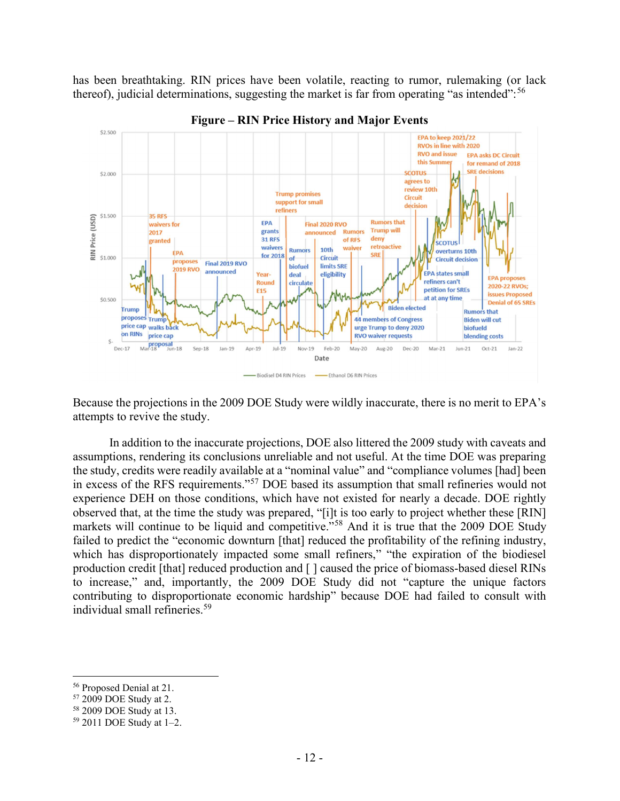has been breathtaking. RIN prices have been volatile, reacting to rumor, rulemaking (or lack thereof), judicial determinations, suggesting the market is far from operating "as intended":<sup>56</sup>



Figure – RIN Price History and Major Events

Because the projections in the 2009 DOE Study were wildly inaccurate, there is no merit to EPA's attempts to revive the study.

In addition to the inaccurate projections, DOE also littered the 2009 study with caveats and assumptions, rendering its conclusions unreliable and not useful. At the time DOE was preparing the study, credits were readily available at a "nominal value" and "compliance volumes [had] been in excess of the RFS requirements."<sup>57</sup> DOE based its assumption that small refineries would not experience DEH on those conditions, which have not existed for nearly a decade. DOE rightly observed that, at the time the study was prepared, "[i]t is too early to project whether these [RIN] markets will continue to be liquid and competitive."<sup>58</sup> And it is true that the 2009 DOE Study failed to predict the "economic downturn [that] reduced the profitability of the refining industry, which has disproportionately impacted some small refiners," "the expiration of the biodiesel production credit [that] reduced production and [ ] caused the price of biomass-based diesel RINs to increase," and, importantly, the 2009 DOE Study did not "capture the unique factors contributing to disproportionate economic hardship" because DOE had failed to consult with individual small refineries.<sup>59</sup>

<sup>56</sup> Proposed Denial at 21.

<sup>57</sup> 2009 DOE Study at 2.

<sup>58</sup> 2009 DOE Study at 13.

<sup>59</sup> 2011 DOE Study at 1–2.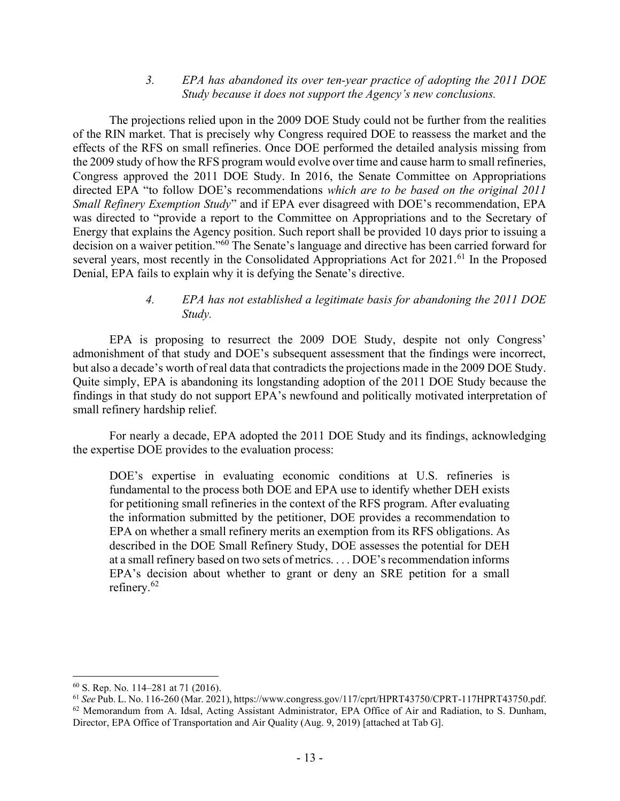### 3. EPA has abandoned its over ten-year practice of adopting the 2011 DOE Study because it does not support the Agency's new conclusions.

The projections relied upon in the 2009 DOE Study could not be further from the realities of the RIN market. That is precisely why Congress required DOE to reassess the market and the effects of the RFS on small refineries. Once DOE performed the detailed analysis missing from the 2009 study of how the RFS program would evolve over time and cause harm to small refineries, Congress approved the 2011 DOE Study. In 2016, the Senate Committee on Appropriations directed EPA "to follow DOE's recommendations which are to be based on the original 2011 Small Refinery Exemption Study" and if EPA ever disagreed with DOE's recommendation, EPA was directed to "provide a report to the Committee on Appropriations and to the Secretary of Energy that explains the Agency position. Such report shall be provided 10 days prior to issuing a decision on a waiver petition."<sup>60</sup> The Senate's language and directive has been carried forward for several years, most recently in the Consolidated Appropriations Act for 2021.<sup>61</sup> In the Proposed Denial, EPA fails to explain why it is defying the Senate's directive.

## 4. EPA has not established a legitimate basis for abandoning the 2011 DOE Study.

EPA is proposing to resurrect the 2009 DOE Study, despite not only Congress' admonishment of that study and DOE's subsequent assessment that the findings were incorrect, but also a decade's worth of real data that contradicts the projections made in the 2009 DOE Study. Quite simply, EPA is abandoning its longstanding adoption of the 2011 DOE Study because the findings in that study do not support EPA's newfound and politically motivated interpretation of small refinery hardship relief.

For nearly a decade, EPA adopted the 2011 DOE Study and its findings, acknowledging the expertise DOE provides to the evaluation process:

DOE's expertise in evaluating economic conditions at U.S. refineries is fundamental to the process both DOE and EPA use to identify whether DEH exists for petitioning small refineries in the context of the RFS program. After evaluating the information submitted by the petitioner, DOE provides a recommendation to EPA on whether a small refinery merits an exemption from its RFS obligations. As described in the DOE Small Refinery Study, DOE assesses the potential for DEH at a small refinery based on two sets of metrics. . . . DOE's recommendation informs EPA's decision about whether to grant or deny an SRE petition for a small refinery.<sup>62</sup>

<sup>60</sup> S. Rep. No. 114–281 at 71 (2016).

<sup>61</sup> See Pub. L. No. 116-260 (Mar. 2021), https://www.congress.gov/117/cprt/HPRT43750/CPRT-117HPRT43750.pdf.  $62$  Memorandum from A. Idsal, Acting Assistant Administrator, EPA Office of Air and Radiation, to S. Dunham, Director, EPA Office of Transportation and Air Quality (Aug. 9, 2019) [attached at Tab G].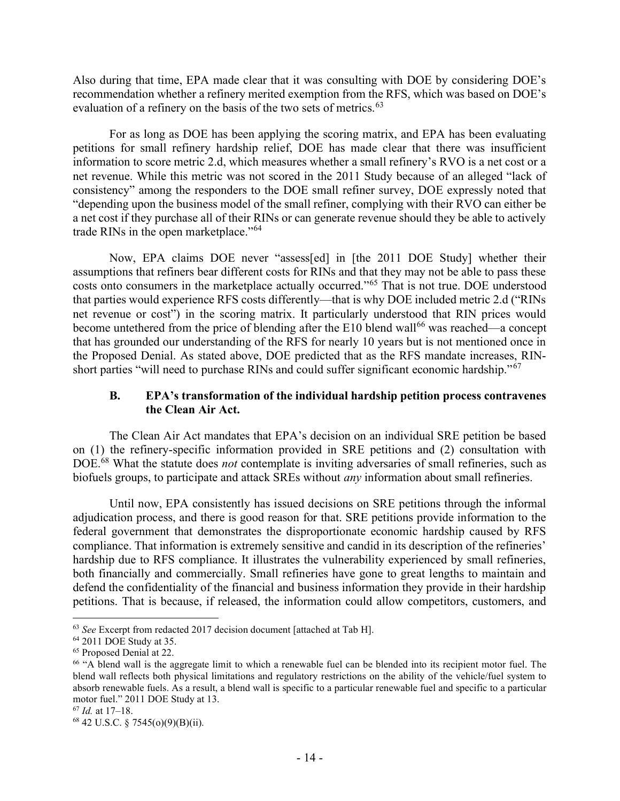Also during that time, EPA made clear that it was consulting with DOE by considering DOE's recommendation whether a refinery merited exemption from the RFS, which was based on DOE's evaluation of a refinery on the basis of the two sets of metrics.<sup>63</sup>

For as long as DOE has been applying the scoring matrix, and EPA has been evaluating petitions for small refinery hardship relief, DOE has made clear that there was insufficient information to score metric 2.d, which measures whether a small refinery's RVO is a net cost or a net revenue. While this metric was not scored in the 2011 Study because of an alleged "lack of consistency" among the responders to the DOE small refiner survey, DOE expressly noted that "depending upon the business model of the small refiner, complying with their RVO can either be a net cost if they purchase all of their RINs or can generate revenue should they be able to actively trade RINs in the open marketplace."<sup>64</sup>

Now, EPA claims DOE never "assess[ed] in [the 2011 DOE Study] whether their assumptions that refiners bear different costs for RINs and that they may not be able to pass these costs onto consumers in the marketplace actually occurred."<sup>65</sup> That is not true. DOE understood that parties would experience RFS costs differently—that is why DOE included metric 2.d ("RINs net revenue or cost") in the scoring matrix. It particularly understood that RIN prices would become untethered from the price of blending after the E10 blend wall<sup>66</sup> was reached—a concept that has grounded our understanding of the RFS for nearly 10 years but is not mentioned once in the Proposed Denial. As stated above, DOE predicted that as the RFS mandate increases, RINshort parties "will need to purchase RINs and could suffer significant economic hardship."<sup>67</sup>

### B. EPA's transformation of the individual hardship petition process contravenes the Clean Air Act.

The Clean Air Act mandates that EPA's decision on an individual SRE petition be based on (1) the refinery-specific information provided in SRE petitions and (2) consultation with DOE.<sup>68</sup> What the statute does *not* contemplate is inviting adversaries of small refineries, such as biofuels groups, to participate and attack SREs without *any* information about small refineries.

Until now, EPA consistently has issued decisions on SRE petitions through the informal adjudication process, and there is good reason for that. SRE petitions provide information to the federal government that demonstrates the disproportionate economic hardship caused by RFS compliance. That information is extremely sensitive and candid in its description of the refineries' hardship due to RFS compliance. It illustrates the vulnerability experienced by small refineries, both financially and commercially. Small refineries have gone to great lengths to maintain and defend the confidentiality of the financial and business information they provide in their hardship petitions. That is because, if released, the information could allow competitors, customers, and

<sup>&</sup>lt;sup>63</sup> See Excerpt from redacted 2017 decision document [attached at Tab H].

<sup>64</sup> 2011 DOE Study at 35.

<sup>65</sup> Proposed Denial at 22.

<sup>66</sup> "A blend wall is the aggregate limit to which a renewable fuel can be blended into its recipient motor fuel. The blend wall reflects both physical limitations and regulatory restrictions on the ability of the vehicle/fuel system to absorb renewable fuels. As a result, a blend wall is specific to a particular renewable fuel and specific to a particular motor fuel." 2011 DOE Study at 13.

<sup>67</sup> Id. at 17–18.

<sup>68</sup> 42 U.S.C. § 7545(o)(9)(B)(ii).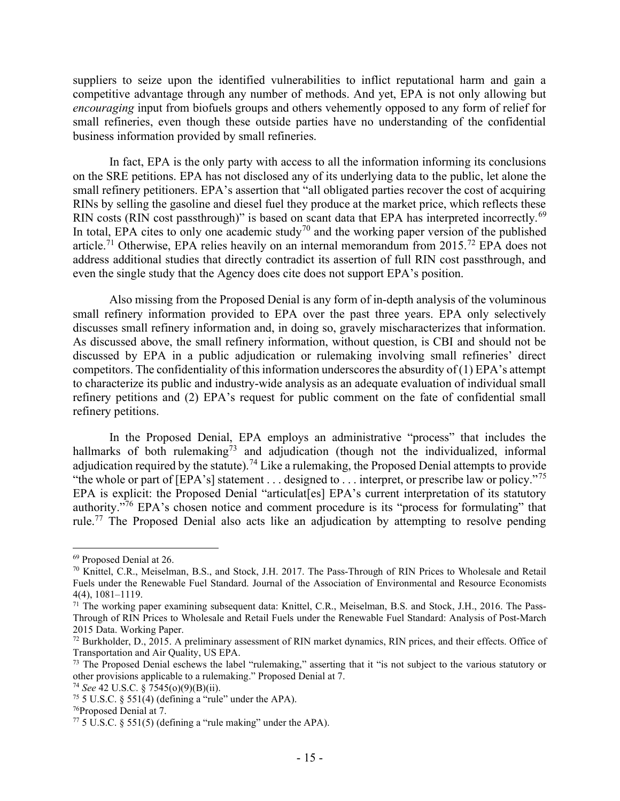suppliers to seize upon the identified vulnerabilities to inflict reputational harm and gain a competitive advantage through any number of methods. And yet, EPA is not only allowing but encouraging input from biofuels groups and others vehemently opposed to any form of relief for small refineries, even though these outside parties have no understanding of the confidential business information provided by small refineries.

In fact, EPA is the only party with access to all the information informing its conclusions on the SRE petitions. EPA has not disclosed any of its underlying data to the public, let alone the small refinery petitioners. EPA's assertion that "all obligated parties recover the cost of acquiring RINs by selling the gasoline and diesel fuel they produce at the market price, which reflects these RIN costs (RIN cost passthrough)" is based on scant data that EPA has interpreted incorrectly.<sup>69</sup> In total, EPA cites to only one academic study<sup>70</sup> and the working paper version of the published article.<sup>71</sup> Otherwise, EPA relies heavily on an internal memorandum from  $2015$ .<sup>72</sup> EPA does not address additional studies that directly contradict its assertion of full RIN cost passthrough, and even the single study that the Agency does cite does not support EPA's position.

Also missing from the Proposed Denial is any form of in-depth analysis of the voluminous small refinery information provided to EPA over the past three years. EPA only selectively discusses small refinery information and, in doing so, gravely mischaracterizes that information. As discussed above, the small refinery information, without question, is CBI and should not be discussed by EPA in a public adjudication or rulemaking involving small refineries' direct competitors. The confidentiality of this information underscores the absurdity of  $(1)$  EPA's attempt to characterize its public and industry-wide analysis as an adequate evaluation of individual small refinery petitions and (2) EPA's request for public comment on the fate of confidential small refinery petitions.

In the Proposed Denial, EPA employs an administrative "process" that includes the hallmarks of both rulemaking<sup>73</sup> and adjudication (though not the individualized, informal adjudication required by the statute).<sup>74</sup> Like a rulemaking, the Proposed Denial attempts to provide "the whole or part of [EPA's] statement  $\dots$  designed to  $\dots$  interpret, or prescribe law or policy."<sup>75</sup> EPA is explicit: the Proposed Denial "articulat[es] EPA's current interpretation of its statutory authority."<sup>76</sup> EPA's chosen notice and comment procedure is its "process for formulating" that rule.<sup>77</sup> The Proposed Denial also acts like an adjudication by attempting to resolve pending

<sup>69</sup> Proposed Denial at 26.

<sup>&</sup>lt;sup>70</sup> Knittel, C.R., Meiselman, B.S., and Stock, J.H. 2017. The Pass-Through of RIN Prices to Wholesale and Retail Fuels under the Renewable Fuel Standard. Journal of the Association of Environmental and Resource Economists 4(4), 1081–1119.

 $71$  The working paper examining subsequent data: Knittel, C.R., Meiselman, B.S. and Stock, J.H., 2016. The Pass-Through of RIN Prices to Wholesale and Retail Fuels under the Renewable Fuel Standard: Analysis of Post-March 2015 Data. Working Paper.

<sup>72</sup> Burkholder, D., 2015. A preliminary assessment of RIN market dynamics, RIN prices, and their effects. Office of Transportation and Air Quality, US EPA.

 $73$  The Proposed Denial eschews the label "rulemaking," asserting that it "is not subject to the various statutory or other provisions applicable to a rulemaking." Proposed Denial at 7.

<sup>74</sup> See 42 U.S.C. § 7545(o)(9)(B)(ii).

<sup>&</sup>lt;sup>75</sup> 5 U.S.C. § 551(4) (defining a "rule" under the APA).

<sup>76</sup>Proposed Denial at 7.

 $77\overline{5}$  U.S.C. § 551(5) (defining a "rule making" under the APA).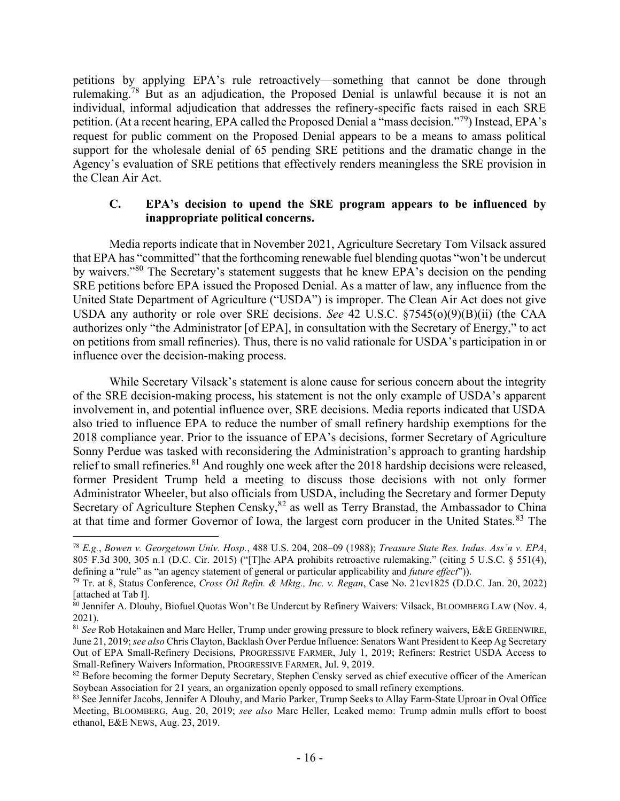petitions by applying EPA's rule retroactively—something that cannot be done through rulemaking.<sup>78</sup> But as an adjudication, the Proposed Denial is unlawful because it is not an individual, informal adjudication that addresses the refinery-specific facts raised in each SRE petition. (At a recent hearing, EPA called the Proposed Denial a "mass decision."<sup>79</sup>) Instead, EPA's request for public comment on the Proposed Denial appears to be a means to amass political support for the wholesale denial of 65 pending SRE petitions and the dramatic change in the Agency's evaluation of SRE petitions that effectively renders meaningless the SRE provision in the Clean Air Act.

### C. EPA's decision to upend the SRE program appears to be influenced by inappropriate political concerns.

Media reports indicate that in November 2021, Agriculture Secretary Tom Vilsack assured that EPA has "committed" that the forthcoming renewable fuel blending quotas "won't be undercut by waivers."<sup>80</sup> The Secretary's statement suggests that he knew EPA's decision on the pending SRE petitions before EPA issued the Proposed Denial. As a matter of law, any influence from the United State Department of Agriculture ("USDA") is improper. The Clean Air Act does not give USDA any authority or role over SRE decisions. See 42 U.S.C. §7545(o)(9)(B)(ii) (the CAA authorizes only "the Administrator [of EPA], in consultation with the Secretary of Energy," to act on petitions from small refineries). Thus, there is no valid rationale for USDA's participation in or influence over the decision-making process.

While Secretary Vilsack's statement is alone cause for serious concern about the integrity of the SRE decision-making process, his statement is not the only example of USDA's apparent involvement in, and potential influence over, SRE decisions. Media reports indicated that USDA also tried to influence EPA to reduce the number of small refinery hardship exemptions for the 2018 compliance year. Prior to the issuance of EPA's decisions, former Secretary of Agriculture Sonny Perdue was tasked with reconsidering the Administration's approach to granting hardship relief to small refineries.<sup>81</sup> And roughly one week after the 2018 hardship decisions were released, former President Trump held a meeting to discuss those decisions with not only former Administrator Wheeler, but also officials from USDA, including the Secretary and former Deputy Secretary of Agriculture Stephen Censky, <sup>82</sup> as well as Terry Branstad, the Ambassador to China at that time and former Governor of Iowa, the largest corn producer in the United States.<sup>83</sup> The

<sup>78</sup> E.g., Bowen v. Georgetown Univ. Hosp., 488 U.S. 204, 208–09 (1988); Treasure State Res. Indus. Ass'n v. EPA, 805 F.3d 300, 305 n.1 (D.C. Cir. 2015) ("[T]he APA prohibits retroactive rulemaking." (citing 5 U.S.C. § 551(4), defining a "rule" as "an agency statement of general or particular applicability and future effect")).

 $^{79}$  Tr. at 8, Status Conference, Cross Oil Refin. & Mktg., Inc. v. Regan, Case No. 21cv1825 (D.D.C. Jan. 20, 2022) [attached at Tab I].

<sup>&</sup>lt;sup>80</sup> Jennifer A. Dlouhy, Biofuel Quotas Won't Be Undercut by Refinery Waivers: Vilsack, BLOOMBERG LAW (Nov. 4, 2021).

<sup>&</sup>lt;sup>81</sup> See Rob Hotakainen and Marc Heller, Trump under growing pressure to block refinery waivers, E&E GREENWIRE, June 21, 2019; see also Chris Clayton, Backlash Over Perdue Influence: Senators Want President to Keep Ag Secretary Out of EPA Small-Refinery Decisions, PROGRESSIVE FARMER, July 1, 2019; Refiners: Restrict USDA Access to Small-Refinery Waivers Information, PROGRESSIVE FARMER, Jul. 9, 2019.

<sup>&</sup>lt;sup>82</sup> Before becoming the former Deputy Secretary, Stephen Censky served as chief executive officer of the American Soybean Association for 21 years, an organization openly opposed to small refinery exemptions.

<sup>83</sup> See Jennifer Jacobs, Jennifer A Dlouhy, and Mario Parker, Trump Seeks to Allay Farm-State Uproar in Oval Office Meeting, BLOOMBERG, Aug. 20, 2019; see also Marc Heller, Leaked memo: Trump admin mulls effort to boost ethanol, E&E NEWS, Aug. 23, 2019.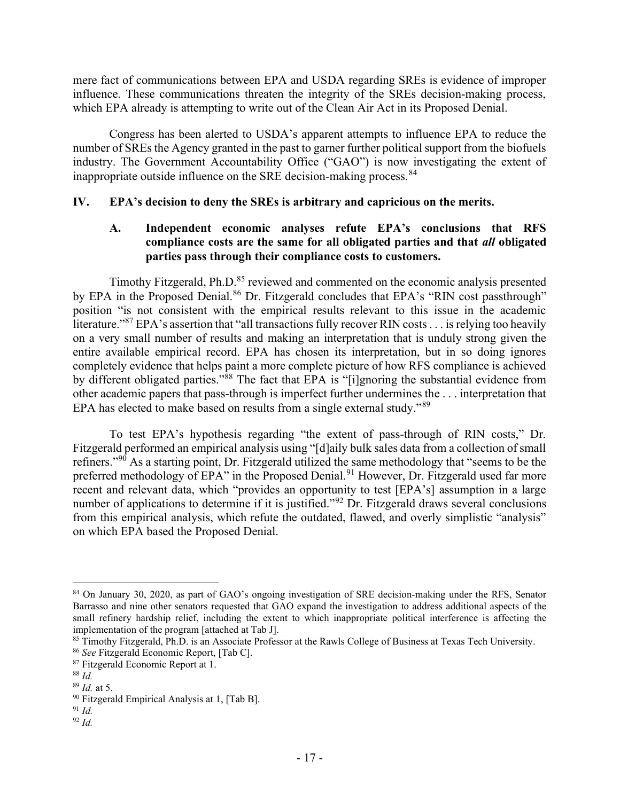mere fact of communications between EPA and USDA regarding SREs is evidence of improper influence. These communications threaten the integrity of the SREs decision-making process, which EPA already is attempting to write out of the Clean Air Act in its Proposed Denial.

Congress has been alerted to USDA's apparent attempts to influence EPA to reduce the number of SREs the Agency granted in the past to garner further political support from the biofuels industry. The Government Accountability Office ("GAO") is now investigating the extent of inappropriate outside influence on the SRE decision-making process.<sup>84</sup>

## IV. EPA's decision to deny the SREs is arbitrary and capricious on the merits.

# A. Independent economic analyses refute EPA's conclusions that RFS compliance costs are the same for all obligated parties and that all obligated parties pass through their compliance costs to customers.

Timothy Fitzgerald, Ph.D.<sup>85</sup> reviewed and commented on the economic analysis presented by EPA in the Proposed Denial.<sup>86</sup> Dr. Fitzgerald concludes that EPA's "RIN cost passthrough" position "is not consistent with the empirical results relevant to this issue in the academic literature."<sup>87</sup> EPA's assertion that "all transactions fully recover RIN costs . . . is relying too heavily on a very small number of results and making an interpretation that is unduly strong given the entire available empirical record. EPA has chosen its interpretation, but in so doing ignores completely evidence that helps paint a more complete picture of how RFS compliance is achieved by different obligated parties."<sup>88</sup> The fact that EPA is "[i]gnoring the substantial evidence from other academic papers that pass-through is imperfect further undermines the . . . interpretation that EPA has elected to make based on results from a single external study." $89$ 

 To test EPA's hypothesis regarding "the extent of pass-through of RIN costs," Dr. Fitzgerald performed an empirical analysis using "[d]aily bulk sales data from a collection of small refiners."<sup>90</sup> As a starting point, Dr. Fitzgerald utilized the same methodology that "seems to be the preferred methodology of EPA" in the Proposed Denial.<sup>91</sup> However, Dr. Fitzgerald used far more recent and relevant data, which "provides an opportunity to test [EPA's] assumption in a large number of applications to determine if it is justified."<sup>92</sup> Dr. Fitzgerald draws several conclusions from this empirical analysis, which refute the outdated, flawed, and overly simplistic "analysis" on which EPA based the Proposed Denial.

 $92$  *Id.* 

<sup>84</sup> On January 30, 2020, as part of GAO's ongoing investigation of SRE decision-making under the RFS, Senator Barrasso and nine other senators requested that GAO expand the investigation to address additional aspects of the small refinery hardship relief, including the extent to which inappropriate political interference is affecting the implementation of the program [attached at Tab J].

<sup>85</sup> Timothy Fitzgerald, Ph.D. is an Associate Professor at the Rawls College of Business at Texas Tech University.

<sup>86</sup> See Fitzgerald Economic Report, [Tab C].

<sup>87</sup> Fitzgerald Economic Report at 1.

 $88$  Id.

 $89$  *Id.* at 5.

<sup>90</sup> Fitzgerald Empirical Analysis at 1, [Tab B].

 $91$  *Id.*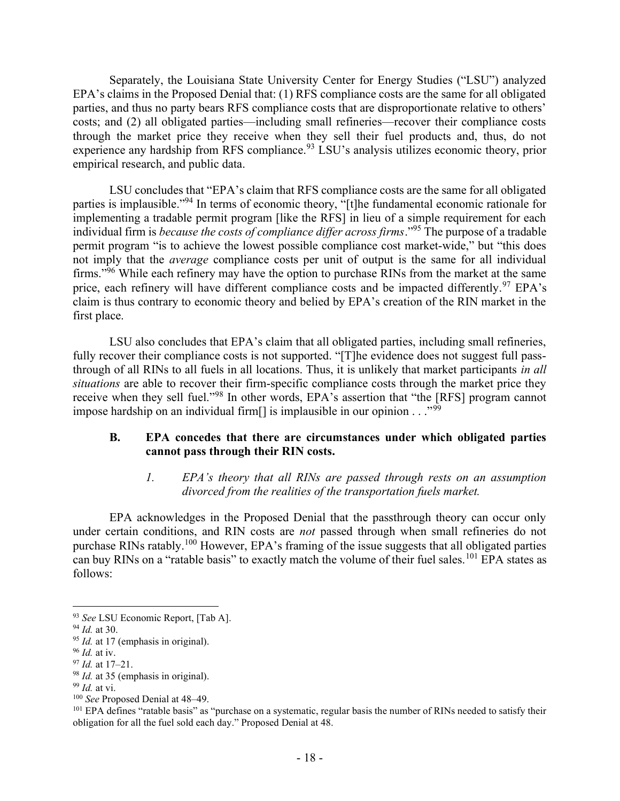Separately, the Louisiana State University Center for Energy Studies ("LSU") analyzed EPA's claims in the Proposed Denial that: (1) RFS compliance costs are the same for all obligated parties, and thus no party bears RFS compliance costs that are disproportionate relative to others' costs; and (2) all obligated parties—including small refineries—recover their compliance costs through the market price they receive when they sell their fuel products and, thus, do not experience any hardship from RFS compliance.<sup>93</sup> LSU's analysis utilizes economic theory, prior empirical research, and public data.

 LSU concludes that "EPA's claim that RFS compliance costs are the same for all obligated parties is implausible."<sup>94</sup> In terms of economic theory, "[t]he fundamental economic rationale for implementing a tradable permit program [like the RFS] in lieu of a simple requirement for each individual firm is *because the costs of compliance differ across firms*."<sup>95</sup> The purpose of a tradable permit program "is to achieve the lowest possible compliance cost market-wide," but "this does not imply that the *average* compliance costs per unit of output is the same for all individual firms."<sup>96</sup> While each refinery may have the option to purchase RINs from the market at the same price, each refinery will have different compliance costs and be impacted differently.<sup>97</sup> EPA's claim is thus contrary to economic theory and belied by EPA's creation of the RIN market in the first place.

 LSU also concludes that EPA's claim that all obligated parties, including small refineries, fully recover their compliance costs is not supported. "[T]he evidence does not suggest full passthrough of all RINs to all fuels in all locations. Thus, it is unlikely that market participants in all situations are able to recover their firm-specific compliance costs through the market price they receive when they sell fuel."<sup>98</sup> In other words, EPA's assertion that "the [RFS] program cannot impose hardship on an individual firm<sup>[]</sup> is implausible in our opinion . . ."<sup>99</sup>

### B. EPA concedes that there are circumstances under which obligated parties cannot pass through their RIN costs.

1. EPA's theory that all RINs are passed through rests on an assumption divorced from the realities of the transportation fuels market.

EPA acknowledges in the Proposed Denial that the passthrough theory can occur only under certain conditions, and RIN costs are *not* passed through when small refineries do not purchase RINs ratably.<sup>100</sup> However, EPA's framing of the issue suggests that all obligated parties can buy RINs on a "ratable basis" to exactly match the volume of their fuel sales.<sup>101</sup> EPA states as follows:

<sup>93</sup> See LSU Economic Report, [Tab A].

<sup>94</sup> Id. at 30.

 $95$  *Id.* at 17 (emphasis in original).

 $96$  *Id.* at iv.

 $97$  *Id.* at 17–21.

 $98$  *Id.* at 35 (emphasis in original).

 $99$  *Id.* at vi.

<sup>&</sup>lt;sup>100</sup> See Proposed Denial at 48–49.

<sup>&</sup>lt;sup>101</sup> EPA defines "ratable basis" as "purchase on a systematic, regular basis the number of RINs needed to satisfy their obligation for all the fuel sold each day." Proposed Denial at 48.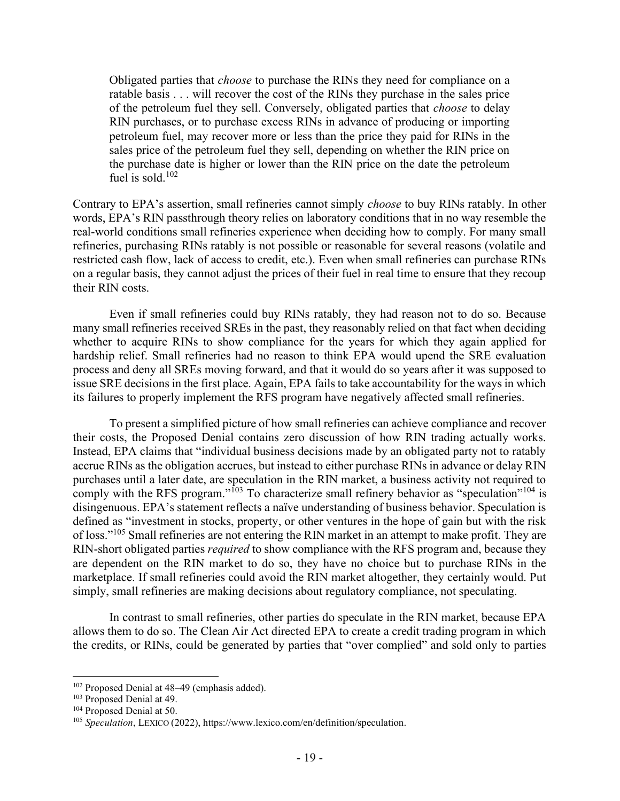Obligated parties that *choose* to purchase the RINs they need for compliance on a ratable basis . . . will recover the cost of the RINs they purchase in the sales price of the petroleum fuel they sell. Conversely, obligated parties that choose to delay RIN purchases, or to purchase excess RINs in advance of producing or importing petroleum fuel, may recover more or less than the price they paid for RINs in the sales price of the petroleum fuel they sell, depending on whether the RIN price on the purchase date is higher or lower than the RIN price on the date the petroleum fuel is sold.<sup>102</sup>

Contrary to EPA's assertion, small refineries cannot simply choose to buy RINs ratably. In other words, EPA's RIN passthrough theory relies on laboratory conditions that in no way resemble the real-world conditions small refineries experience when deciding how to comply. For many small refineries, purchasing RINs ratably is not possible or reasonable for several reasons (volatile and restricted cash flow, lack of access to credit, etc.). Even when small refineries can purchase RINs on a regular basis, they cannot adjust the prices of their fuel in real time to ensure that they recoup their RIN costs.

Even if small refineries could buy RINs ratably, they had reason not to do so. Because many small refineries received SREs in the past, they reasonably relied on that fact when deciding whether to acquire RINs to show compliance for the years for which they again applied for hardship relief. Small refineries had no reason to think EPA would upend the SRE evaluation process and deny all SREs moving forward, and that it would do so years after it was supposed to issue SRE decisions in the first place. Again, EPA fails to take accountability for the ways in which its failures to properly implement the RFS program have negatively affected small refineries.

To present a simplified picture of how small refineries can achieve compliance and recover their costs, the Proposed Denial contains zero discussion of how RIN trading actually works. Instead, EPA claims that "individual business decisions made by an obligated party not to ratably accrue RINs as the obligation accrues, but instead to either purchase RINs in advance or delay RIN purchases until a later date, are speculation in the RIN market, a business activity not required to comply with the RFS program." $103$  To characterize small refinery behavior as "speculation" $104$  is disingenuous. EPA's statement reflects a naïve understanding of business behavior. Speculation is defined as "investment in stocks, property, or other ventures in the hope of gain but with the risk of loss."<sup>105</sup> Small refineries are not entering the RIN market in an attempt to make profit. They are RIN-short obligated parties *required* to show compliance with the RFS program and, because they are dependent on the RIN market to do so, they have no choice but to purchase RINs in the marketplace. If small refineries could avoid the RIN market altogether, they certainly would. Put simply, small refineries are making decisions about regulatory compliance, not speculating.

In contrast to small refineries, other parties do speculate in the RIN market, because EPA allows them to do so. The Clean Air Act directed EPA to create a credit trading program in which the credits, or RINs, could be generated by parties that "over complied" and sold only to parties

<sup>102</sup> Proposed Denial at 48–49 (emphasis added).

<sup>103</sup> Proposed Denial at 49.

<sup>104</sup> Proposed Denial at 50.

<sup>105</sup> Speculation, LEXICO (2022), https://www.lexico.com/en/definition/speculation.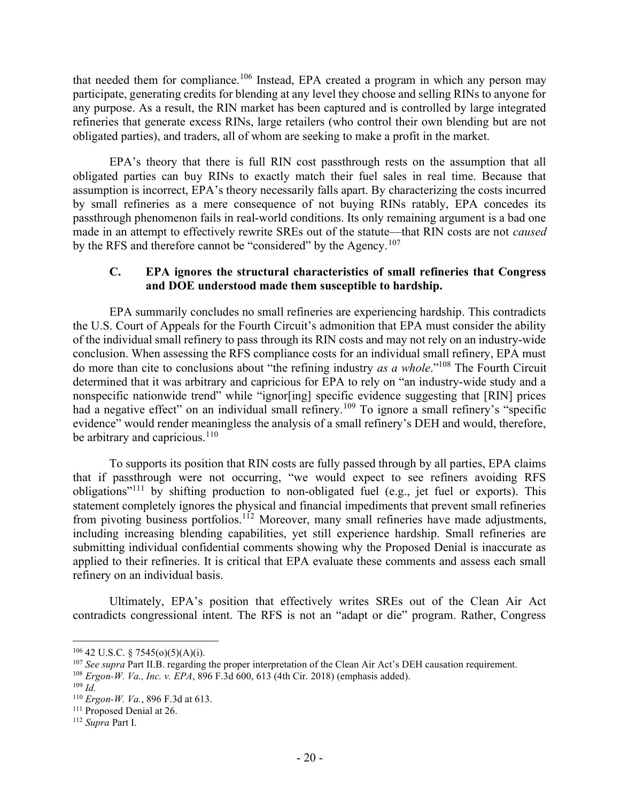that needed them for compliance.<sup>106</sup> Instead, EPA created a program in which any person may participate, generating credits for blending at any level they choose and selling RINs to anyone for any purpose. As a result, the RIN market has been captured and is controlled by large integrated refineries that generate excess RINs, large retailers (who control their own blending but are not obligated parties), and traders, all of whom are seeking to make a profit in the market.

EPA's theory that there is full RIN cost passthrough rests on the assumption that all obligated parties can buy RINs to exactly match their fuel sales in real time. Because that assumption is incorrect, EPA's theory necessarily falls apart. By characterizing the costs incurred by small refineries as a mere consequence of not buying RINs ratably, EPA concedes its passthrough phenomenon fails in real-world conditions. Its only remaining argument is a bad one made in an attempt to effectively rewrite SREs out of the statute—that RIN costs are not caused by the RFS and therefore cannot be "considered" by the Agency.<sup>107</sup>

### C. EPA ignores the structural characteristics of small refineries that Congress and DOE understood made them susceptible to hardship.

EPA summarily concludes no small refineries are experiencing hardship. This contradicts the U.S. Court of Appeals for the Fourth Circuit's admonition that EPA must consider the ability of the individual small refinery to pass through its RIN costs and may not rely on an industry-wide conclusion. When assessing the RFS compliance costs for an individual small refinery, EPA must do more than cite to conclusions about "the refining industry as a whole."<sup>108</sup> The Fourth Circuit determined that it was arbitrary and capricious for EPA to rely on "an industry-wide study and a nonspecific nationwide trend" while "ignor[ing] specific evidence suggesting that [RIN] prices had a negative effect" on an individual small refinery.<sup>109</sup> To ignore a small refinery's "specific evidence" would render meaningless the analysis of a small refinery's DEH and would, therefore, be arbitrary and capricious.<sup>110</sup>

To supports its position that RIN costs are fully passed through by all parties, EPA claims that if passthrough were not occurring, "we would expect to see refiners avoiding RFS obligations"<sup>111</sup> by shifting production to non-obligated fuel (e.g., jet fuel or exports). This statement completely ignores the physical and financial impediments that prevent small refineries from pivoting business portfolios.<sup>112</sup> Moreover, many small refineries have made adjustments, including increasing blending capabilities, yet still experience hardship. Small refineries are submitting individual confidential comments showing why the Proposed Denial is inaccurate as applied to their refineries. It is critical that EPA evaluate these comments and assess each small refinery on an individual basis.

Ultimately, EPA's position that effectively writes SREs out of the Clean Air Act contradicts congressional intent. The RFS is not an "adapt or die" program. Rather, Congress

 $106$  42 U.S.C. § 7545(o)(5)(A)(i).

<sup>&</sup>lt;sup>107</sup> See supra Part II.B. regarding the proper interpretation of the Clean Air Act's DEH causation requirement.

<sup>108</sup> Ergon-W. Va., Inc. v. EPA, 896 F.3d 600, 613 (4th Cir. 2018) (emphasis added).

 $109$  *Id.* 

<sup>110</sup> Ergon-W. Va., 896 F.3d at 613.

<sup>&</sup>lt;sup>111</sup> Proposed Denial at 26.

<sup>&</sup>lt;sup>112</sup> Supra Part I.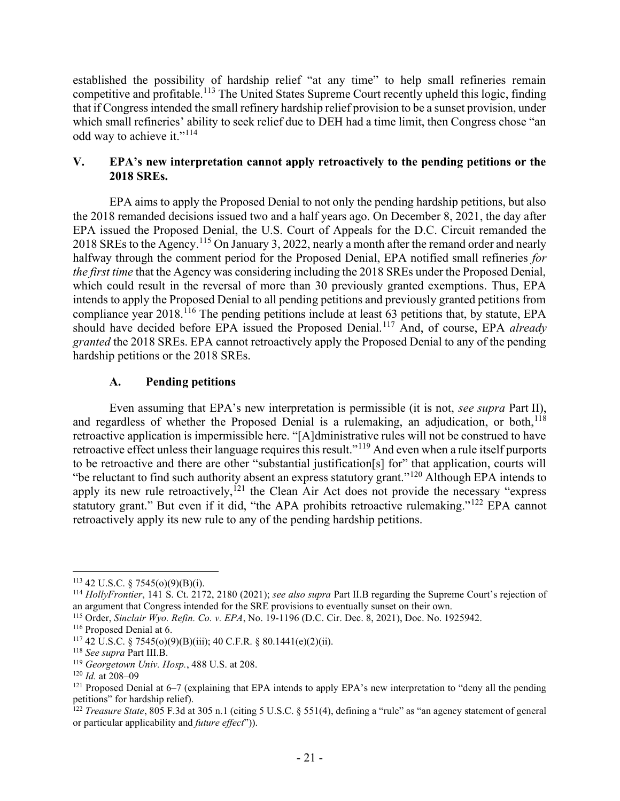established the possibility of hardship relief "at any time" to help small refineries remain competitive and profitable.<sup>113</sup> The United States Supreme Court recently upheld this logic, finding that if Congress intended the small refinery hardship relief provision to be a sunset provision, under which small refineries' ability to seek relief due to DEH had a time limit, then Congress chose "an odd way to achieve it."<sup>114</sup>

## V. EPA's new interpretation cannot apply retroactively to the pending petitions or the 2018 SREs.

EPA aims to apply the Proposed Denial to not only the pending hardship petitions, but also the 2018 remanded decisions issued two and a half years ago. On December 8, 2021, the day after EPA issued the Proposed Denial, the U.S. Court of Appeals for the D.C. Circuit remanded the 2018 SREs to the Agency.<sup>115</sup> On January 3, 2022, nearly a month after the remand order and nearly halfway through the comment period for the Proposed Denial, EPA notified small refineries for the first time that the Agency was considering including the 2018 SREs under the Proposed Denial, which could result in the reversal of more than 30 previously granted exemptions. Thus, EPA intends to apply the Proposed Denial to all pending petitions and previously granted petitions from compliance year 2018.<sup>116</sup> The pending petitions include at least  $\overline{63}$  petitions that, by statute, EPA should have decided before EPA issued the Proposed Denial.<sup>117</sup> And, of course, EPA *already* granted the 2018 SREs. EPA cannot retroactively apply the Proposed Denial to any of the pending hardship petitions or the 2018 SREs.

# A. Pending petitions

Even assuming that EPA's new interpretation is permissible (it is not, see supra Part II), and regardless of whether the Proposed Denial is a rulemaking, an adjudication, or both, $118$ retroactive application is impermissible here. "[A]dministrative rules will not be construed to have retroactive effect unless their language requires this result."<sup>119</sup> And even when a rule itself purports to be retroactive and there are other "substantial justification[s] for" that application, courts will "be reluctant to find such authority absent an express statutory grant."<sup>120</sup> Although EPA intends to apply its new rule retroactively,<sup>121</sup> the Clean Air Act does not provide the necessary "express" statutory grant." But even if it did, "the APA prohibits retroactive rulemaking."<sup>122</sup> EPA cannot retroactively apply its new rule to any of the pending hardship petitions.

 $113$  42 U.S.C. § 7545(o)(9)(B)(i).

<sup>&</sup>lt;sup>114</sup> HollyFrontier, 141 S. Ct. 2172, 2180 (2021); see also supra Part II.B regarding the Supreme Court's rejection of an argument that Congress intended for the SRE provisions to eventually sunset on their own.

<sup>115</sup> Order, Sinclair Wyo. Refin. Co. v. EPA, No. 19-1196 (D.C. Cir. Dec. 8, 2021), Doc. No. 1925942.

<sup>116</sup> Proposed Denial at 6.

 $117$  42 U.S.C. § 7545(o)(9)(B)(iii); 40 C.F.R. § 80.1441(e)(2)(ii).

<sup>118</sup> See supra Part III.B.

<sup>119</sup> Georgetown Univ. Hosp., 488 U.S. at 208.

 $120$  *Id.* at 208-09

 $121$  Proposed Denial at 6–7 (explaining that EPA intends to apply EPA's new interpretation to "deny all the pending petitions" for hardship relief).

<sup>&</sup>lt;sup>122</sup> Treasure State, 805 F.3d at 305 n.1 (citing 5 U.S.C. § 551(4), defining a "rule" as "an agency statement of general or particular applicability and *future effect*")).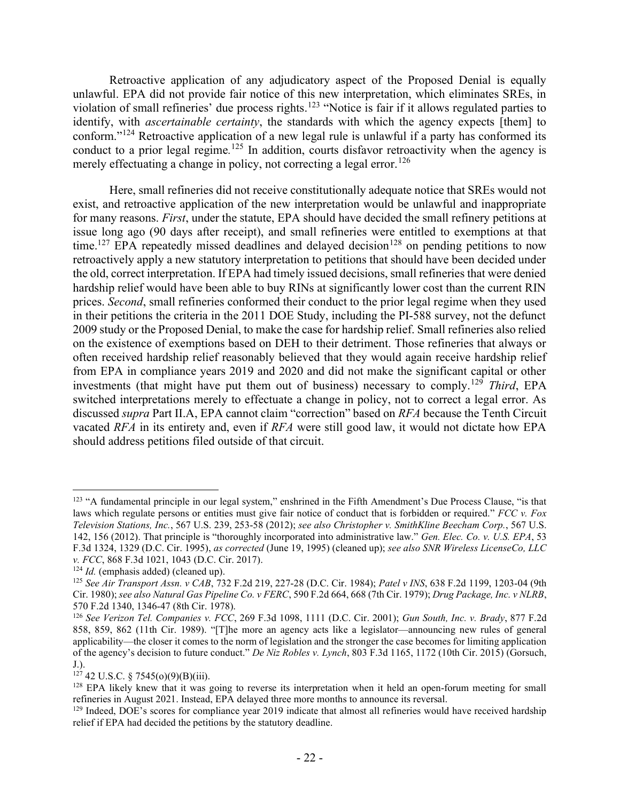Retroactive application of any adjudicatory aspect of the Proposed Denial is equally unlawful. EPA did not provide fair notice of this new interpretation, which eliminates SREs, in violation of small refineries' due process rights.<sup>123</sup> "Notice is fair if it allows regulated parties to identify, with *ascertainable certainty*, the standards with which the agency expects [them] to conform."<sup>124</sup> Retroactive application of a new legal rule is unlawful if a party has conformed its conduct to a prior legal regime.<sup>125</sup> In addition, courts disfavor retroactivity when the agency is merely effectuating a change in policy, not correcting a legal error.<sup>126</sup>

 Here, small refineries did not receive constitutionally adequate notice that SREs would not exist, and retroactive application of the new interpretation would be unlawful and inappropriate for many reasons. First, under the statute, EPA should have decided the small refinery petitions at issue long ago (90 days after receipt), and small refineries were entitled to exemptions at that time.<sup>127</sup> EPA repeatedly missed deadlines and delayed decision<sup>128</sup> on pending petitions to now retroactively apply a new statutory interpretation to petitions that should have been decided under the old, correct interpretation. If EPA had timely issued decisions, small refineries that were denied hardship relief would have been able to buy RINs at significantly lower cost than the current RIN prices. Second, small refineries conformed their conduct to the prior legal regime when they used in their petitions the criteria in the 2011 DOE Study, including the PI-588 survey, not the defunct 2009 study or the Proposed Denial, to make the case for hardship relief. Small refineries also relied on the existence of exemptions based on DEH to their detriment. Those refineries that always or often received hardship relief reasonably believed that they would again receive hardship relief from EPA in compliance years 2019 and 2020 and did not make the significant capital or other investments (that might have put them out of business) necessary to comply.<sup>129</sup> Third, EPA switched interpretations merely to effectuate a change in policy, not to correct a legal error. As discussed supra Part II.A, EPA cannot claim "correction" based on RFA because the Tenth Circuit vacated RFA in its entirety and, even if RFA were still good law, it would not dictate how EPA should address petitions filed outside of that circuit.

<sup>&</sup>lt;sup>123</sup> "A fundamental principle in our legal system," enshrined in the Fifth Amendment's Due Process Clause, "is that laws which regulate persons or entities must give fair notice of conduct that is forbidden or required."  $FCC$  v. Fox Television Stations, Inc., 567 U.S. 239, 253-58 (2012); see also Christopher v. SmithKline Beecham Corp., 567 U.S. 142, 156 (2012). That principle is "thoroughly incorporated into administrative law." Gen. Elec. Co. v. U.S. EPA, 53 F.3d 1324, 1329 (D.C. Cir. 1995), as corrected (June 19, 1995) (cleaned up); see also SNR Wireless LicenseCo, LLC v. FCC, 868 F.3d 1021, 1043 (D.C. Cir. 2017).

 $124$  *Id.* (emphasis added) (cleaned up).

<sup>125</sup> See Air Transport Assn. v CAB, 732 F.2d 219, 227-28 (D.C. Cir. 1984); Patel v INS, 638 F.2d 1199, 1203-04 (9th Cir. 1980); see also Natural Gas Pipeline Co. v FERC, 590 F.2d 664, 668 (7th Cir. 1979); Drug Package, Inc. v NLRB, 570 F.2d 1340, 1346-47 (8th Cir. 1978).

<sup>&</sup>lt;sup>126</sup> See Verizon Tel. Companies v. FCC, 269 F.3d 1098, 1111 (D.C. Cir. 2001); Gun South, Inc. v. Brady, 877 F.2d 858, 859, 862 (11th Cir. 1989). "[T]he more an agency acts like a legislator—announcing new rules of general applicability—the closer it comes to the norm of legislation and the stronger the case becomes for limiting application of the agency's decision to future conduct." De Niz Robles v. Lynch, 803 F.3d 1165, 1172 (10th Cir. 2015) (Gorsuch, J.).

 $127$  42 U.S.C. § 7545(o)(9)(B)(iii).

<sup>&</sup>lt;sup>128</sup> EPA likely knew that it was going to reverse its interpretation when it held an open-forum meeting for small refineries in August 2021. Instead, EPA delayed three more months to announce its reversal.

<sup>&</sup>lt;sup>129</sup> Indeed, DOE's scores for compliance year 2019 indicate that almost all refineries would have received hardship relief if EPA had decided the petitions by the statutory deadline.